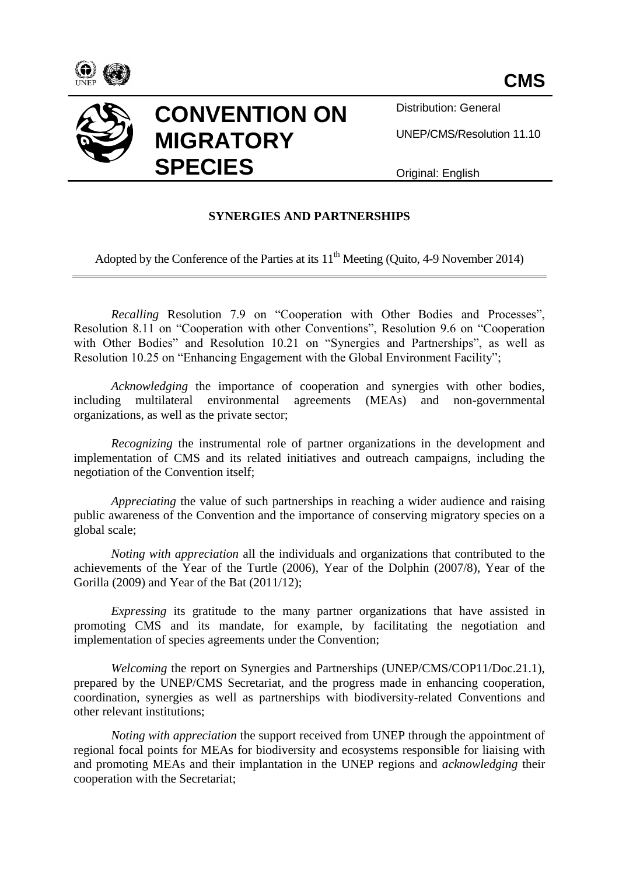



Distribution: General

UNEP/CMS/Resolution 11.10

Original: English

## **SYNERGIES AND PARTNERSHIPS**

Adopted by the Conference of the Parties at its  $11<sup>th</sup>$  Meeting (Quito, 4-9 November 2014)

*Recalling* Resolution 7.9 on "Cooperation with Other Bodies and Processes", Resolution 8.11 on "Cooperation with other Conventions", Resolution 9.6 on "Cooperation with Other Bodies" and Resolution 10.21 on "Synergies and Partnerships", as well as Resolution 10.25 on "Enhancing Engagement with the Global Environment Facility";

*Acknowledging* the importance of cooperation and synergies with other bodies, including multilateral environmental agreements (MEAs) and non-governmental organizations, as well as the private sector;

*Recognizing* the instrumental role of partner organizations in the development and implementation of CMS and its related initiatives and outreach campaigns, including the negotiation of the Convention itself;

*Appreciating* the value of such partnerships in reaching a wider audience and raising public awareness of the Convention and the importance of conserving migratory species on a global scale;

*Noting with appreciation* all the individuals and organizations that contributed to the achievements of the Year of the Turtle (2006), Year of the Dolphin (2007/8), Year of the Gorilla (2009) and Year of the Bat (2011/12);

*Expressing* its gratitude to the many partner organizations that have assisted in promoting CMS and its mandate, for example, by facilitating the negotiation and implementation of species agreements under the Convention;

*Welcoming* the report on Synergies and Partnerships (UNEP/CMS/COP11/Doc.21.1), prepared by the UNEP/CMS Secretariat, and the progress made in enhancing cooperation, coordination, synergies as well as partnerships with biodiversity-related Conventions and other relevant institutions;

*Noting with appreciation* the support received from UNEP through the appointment of regional focal points for MEAs for biodiversity and ecosystems responsible for liaising with and promoting MEAs and their implantation in the UNEP regions and *acknowledging* their cooperation with the Secretariat;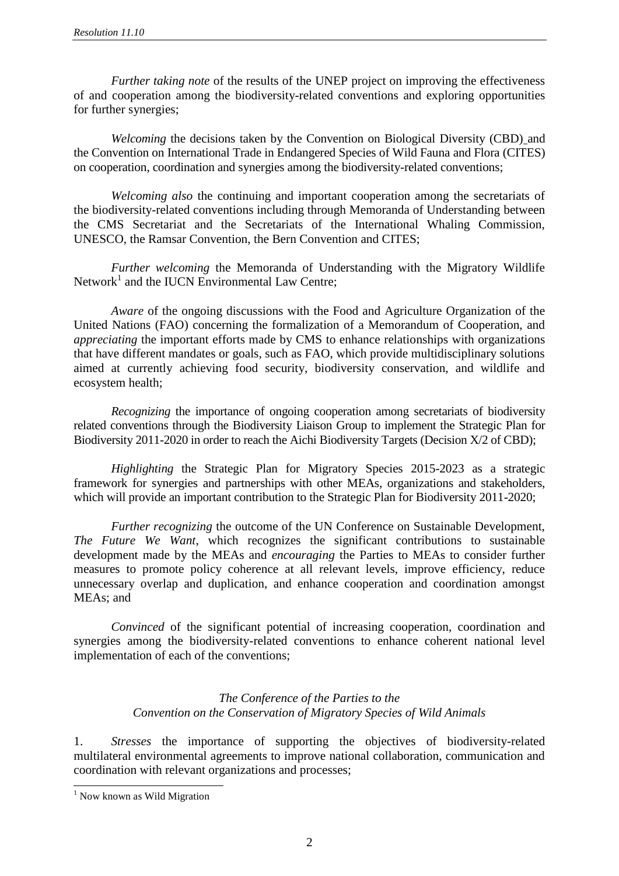*Further taking note* of the results of the UNEP project on improving the effectiveness of and cooperation among the biodiversity-related conventions and exploring opportunities for further synergies;

*Welcoming* the decisions taken by the Convention on Biological Diversity (CBD) and the Convention on International Trade in Endangered Species of Wild Fauna and Flora (CITES) on cooperation, coordination and synergies among the biodiversity-related conventions;

*Welcoming also* the continuing and important cooperation among the secretariats of the biodiversity-related conventions including through Memoranda of Understanding between the CMS Secretariat and the Secretariats of the International Whaling Commission, UNESCO, the Ramsar Convention, the Bern Convention and CITES;

*Further welcoming* the Memoranda of Understanding with the Migratory Wildlife Network<sup>1</sup> and the IUCN Environmental Law Centre;

*Aware* of the ongoing discussions with the Food and Agriculture Organization of the United Nations (FAO) concerning the formalization of a Memorandum of Cooperation, and *appreciating* the important efforts made by CMS to enhance relationships with organizations that have different mandates or goals, such as FAO, which provide multidisciplinary solutions aimed at currently achieving food security, biodiversity conservation, and wildlife and ecosystem health;

*Recognizing* the importance of ongoing cooperation among secretariats of biodiversity related conventions through the Biodiversity Liaison Group to implement the Strategic Plan for Biodiversity 2011-2020 in order to reach the Aichi Biodiversity Targets (Decision X/2 of CBD);

*Highlighting* the Strategic Plan for Migratory Species 2015-2023 as a strategic framework for synergies and partnerships with other MEAs, organizations and stakeholders, which will provide an important contribution to the Strategic Plan for Biodiversity 2011-2020;

*Further recognizing* the outcome of the UN Conference on Sustainable Development, *The Future We Want*, which recognizes the significant contributions to sustainable development made by the MEAs and *encouraging* the Parties to MEAs to consider further measures to promote policy coherence at all relevant levels, improve efficiency, reduce unnecessary overlap and duplication, and enhance cooperation and coordination amongst MEAs; and

*Convinced* of the significant potential of increasing cooperation, coordination and synergies among the biodiversity-related conventions to enhance coherent national level implementation of each of the conventions;

## *The Conference of the Parties to the Convention on the Conservation of Migratory Species of Wild Animals*

1. *Stresses* the importance of supporting the objectives of biodiversity-related multilateral environmental agreements to improve national collaboration, communication and coordination with relevant organizations and processes;

 $\overline{a}$ 

<sup>&</sup>lt;sup>1</sup> Now known as Wild Migration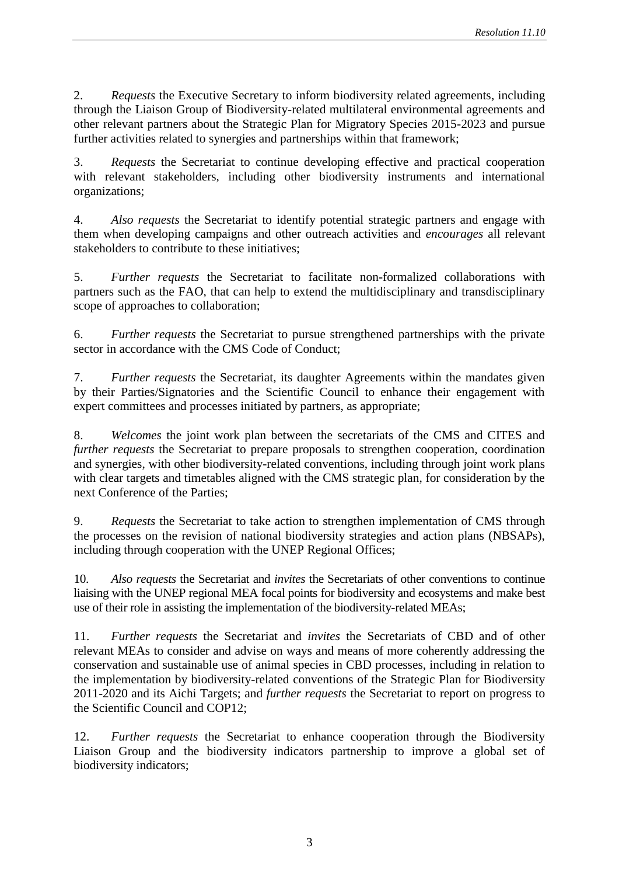2. *Requests* the Executive Secretary to inform biodiversity related agreements, including through the Liaison Group of Biodiversity-related multilateral environmental agreements and other relevant partners about the Strategic Plan for Migratory Species 2015-2023 and pursue further activities related to synergies and partnerships within that framework;

3. *Requests* the Secretariat to continue developing effective and practical cooperation with relevant stakeholders, including other biodiversity instruments and international organizations;

4. *Also requests* the Secretariat to identify potential strategic partners and engage with them when developing campaigns and other outreach activities and *encourages* all relevant stakeholders to contribute to these initiatives;

5. *Further requests* the Secretariat to facilitate non-formalized collaborations with partners such as the FAO, that can help to extend the multidisciplinary and transdisciplinary scope of approaches to collaboration;

6. *Further requests* the Secretariat to pursue strengthened partnerships with the private sector in accordance with the CMS Code of Conduct;

7. *Further requests* the Secretariat, its daughter Agreements within the mandates given by their Parties/Signatories and the Scientific Council to enhance their engagement with expert committees and processes initiated by partners, as appropriate;

8. *Welcomes* the joint work plan between the secretariats of the CMS and CITES and *further requests* the Secretariat to prepare proposals to strengthen cooperation, coordination and synergies, with other biodiversity-related conventions, including through joint work plans with clear targets and timetables aligned with the CMS strategic plan, for consideration by the next Conference of the Parties;

9. *Requests* the Secretariat to take action to strengthen implementation of CMS through the processes on the revision of national biodiversity strategies and action plans (NBSAPs), including through cooperation with the UNEP Regional Offices;

10. *Also requests* the Secretariat and *invites* the Secretariats of other conventions to continue liaising with the UNEP regional MEA focal points for biodiversity and ecosystems and make best use of their role in assisting the implementation of the biodiversity-related MEAs;

11. *Further requests* the Secretariat and *invites* the Secretariats of CBD and of other relevant MEAs to consider and advise on ways and means of more coherently addressing the conservation and sustainable use of animal species in CBD processes, including in relation to the implementation by biodiversity-related conventions of the Strategic Plan for Biodiversity 2011-2020 and its Aichi Targets; and *further requests* the Secretariat to report on progress to the Scientific Council and COP12;

12. *Further requests* the Secretariat to enhance cooperation through the Biodiversity Liaison Group and the biodiversity indicators partnership to improve a global set of biodiversity indicators;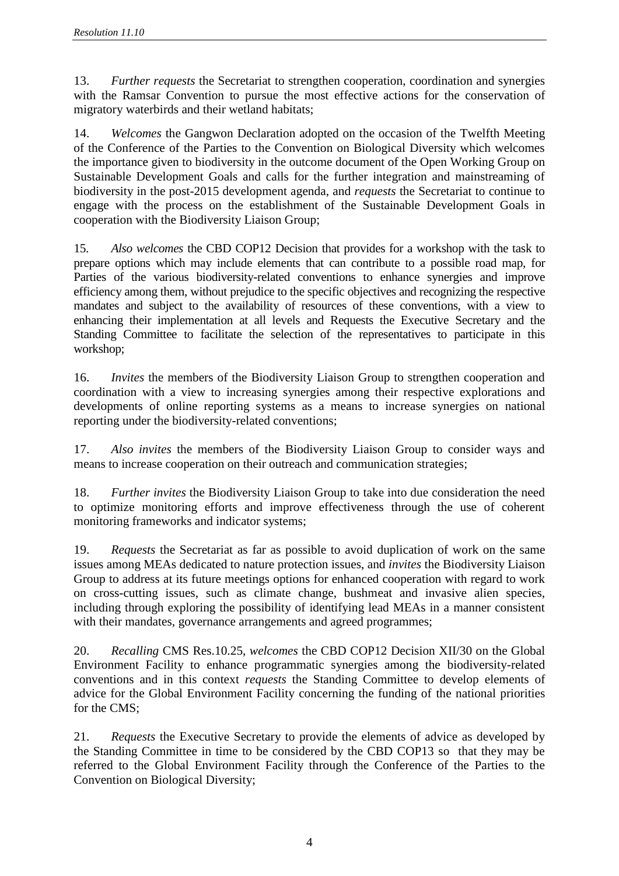13. *Further requests* the Secretariat to strengthen cooperation, coordination and synergies with the Ramsar Convention to pursue the most effective actions for the conservation of migratory waterbirds and their wetland habitats;

14. *Welcomes* the Gangwon Declaration adopted on the occasion of the Twelfth Meeting of the Conference of the Parties to the Convention on Biological Diversity which welcomes the importance given to biodiversity in the outcome document of the Open Working Group on Sustainable Development Goals and calls for the further integration and mainstreaming of biodiversity in the post-2015 development agenda, and *requests* the Secretariat to continue to engage with the process on the establishment of the Sustainable Development Goals in cooperation with the Biodiversity Liaison Group;

15. *Also welcomes* the CBD COP12 Decision that provides for a workshop with the task to prepare options which may include elements that can contribute to a possible road map, for Parties of the various biodiversity-related conventions to enhance synergies and improve efficiency among them, without prejudice to the specific objectives and recognizing the respective mandates and subject to the availability of resources of these conventions, with a view to enhancing their implementation at all levels and Requests the Executive Secretary and the Standing Committee to facilitate the selection of the representatives to participate in this workshop;

16. *Invites* the members of the Biodiversity Liaison Group to strengthen cooperation and coordination with a view to increasing synergies among their respective explorations and developments of online reporting systems as a means to increase synergies on national reporting under the biodiversity-related conventions;

17. *Also invites* the members of the Biodiversity Liaison Group to consider ways and means to increase cooperation on their outreach and communication strategies;

18. *Further invites* the Biodiversity Liaison Group to take into due consideration the need to optimize monitoring efforts and improve effectiveness through the use of coherent monitoring frameworks and indicator systems;

19. *Requests* the Secretariat as far as possible to avoid duplication of work on the same issues among MEAs dedicated to nature protection issues, and *invites* the Biodiversity Liaison Group to address at its future meetings options for enhanced cooperation with regard to work on cross-cutting issues, such as climate change, bushmeat and invasive alien species, including through exploring the possibility of identifying lead MEAs in a manner consistent with their mandates, governance arrangements and agreed programmes;

20. *Recalling* CMS Res.10.25, *welcomes* the CBD COP12 Decision XII/30 on the Global Environment Facility to enhance programmatic synergies among the biodiversity-related conventions and in this context *requests* the Standing Committee to develop elements of advice for the Global Environment Facility concerning the funding of the national priorities for the CMS;

21. *Requests* the Executive Secretary to provide the elements of advice as developed by the Standing Committee in time to be considered by the CBD COP13 so that they may be referred to the Global Environment Facility through the Conference of the Parties to the Convention on Biological Diversity;